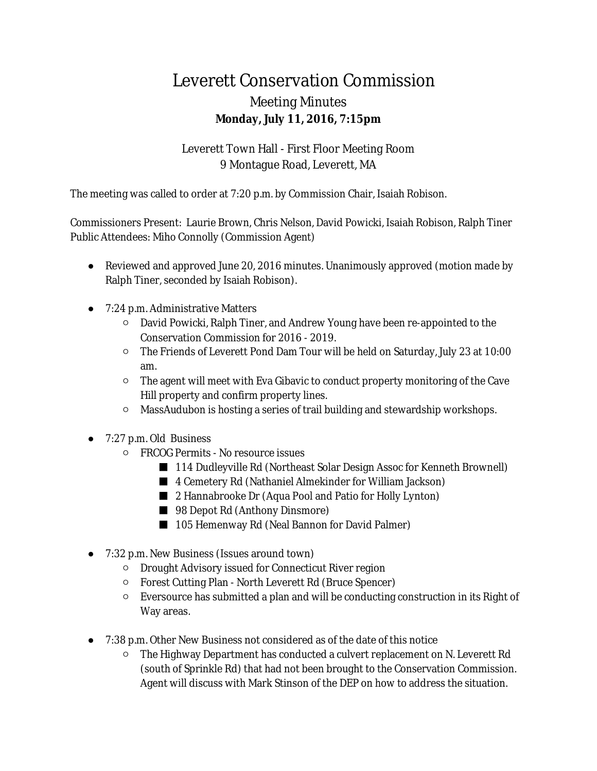## Leverett Conservation Commission Meeting Minutes **Monday, July 11, 2016, 7:15pm**

Leverett Town Hall - First Floor Meeting Room 9 Montague Road, Leverett, MA

The meeting was called to order at 7:20 p.m. by Commission Chair, Isaiah Robison.

Commissioners Present: Laurie Brown, Chris Nelson, David Powicki, Isaiah Robison, Ralph Tiner Public Attendees: Miho Connolly (Commission Agent)

- Reviewed and approved June 20, 2016 minutes. Unanimously approved (motion made by Ralph Tiner, seconded by Isaiah Robison).
- 7:24 p.m. Administrative Matters
	- David Powicki, Ralph Tiner, and Andrew Young have been re-appointed to the Conservation Commission for 2016 - 2019.
	- The Friends of Leverett Pond Dam Tour will be held on Saturday, July 23 at 10:00 am.
	- The agent will meet with Eva Gibavic to conduct property monitoring of the Cave Hill property and confirm property lines.
	- MassAudubon is hosting a series of trail building and stewardship workshops.
- 7:27 p.m. Old Business
	- FRCOG Permits No resource issues
		- 114 Dudleyville Rd (Northeast Solar Design Assoc for Kenneth Brownell)
		- 4 Cemetery Rd (Nathaniel Almekinder for William Jackson)
		- 2 Hannabrooke Dr (Aqua Pool and Patio for Holly Lynton)
		- 98 Depot Rd (Anthony Dinsmore)
		- 105 Hemenway Rd (Neal Bannon for David Palmer)
- 7:32 p.m. New Business (Issues around town)
	- Drought Advisory issued for Connecticut River region
	- Forest Cutting Plan North Leverett Rd (Bruce Spencer)
	- Eversource has submitted a plan and will be conducting construction in its Right of Way areas.
- 7:38 p.m. Other New Business not considered as of the date of this notice
	- The Highway Department has conducted a culvert replacement on N. Leverett Rd (south of Sprinkle Rd) that had not been brought to the Conservation Commission. Agent will discuss with Mark Stinson of the DEP on how to address the situation.